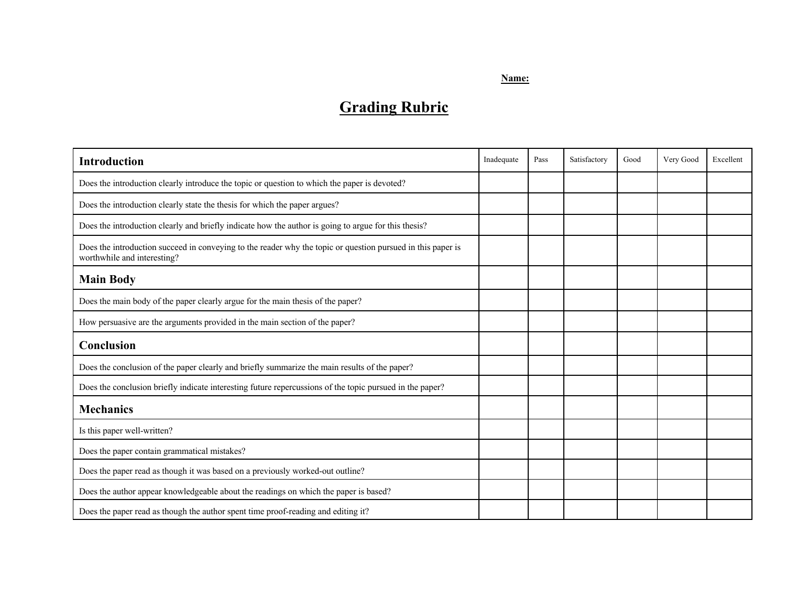## **Name:**

## **Grading Rubric**

| <b>Introduction</b>                                                                                                                        | Inadequate | Pass | Satisfactory | Good | Very Good | Excellent |
|--------------------------------------------------------------------------------------------------------------------------------------------|------------|------|--------------|------|-----------|-----------|
| Does the introduction clearly introduce the topic or question to which the paper is devoted?                                               |            |      |              |      |           |           |
| Does the introduction clearly state the thesis for which the paper argues?                                                                 |            |      |              |      |           |           |
| Does the introduction clearly and briefly indicate how the author is going to argue for this thesis?                                       |            |      |              |      |           |           |
| Does the introduction succeed in conveying to the reader why the topic or question pursued in this paper is<br>worthwhile and interesting? |            |      |              |      |           |           |
| <b>Main Body</b>                                                                                                                           |            |      |              |      |           |           |
| Does the main body of the paper clearly argue for the main thesis of the paper?                                                            |            |      |              |      |           |           |
| How persuasive are the arguments provided in the main section of the paper?                                                                |            |      |              |      |           |           |
| <b>Conclusion</b>                                                                                                                          |            |      |              |      |           |           |
| Does the conclusion of the paper clearly and briefly summarize the main results of the paper?                                              |            |      |              |      |           |           |
| Does the conclusion briefly indicate interesting future repercussions of the topic pursued in the paper?                                   |            |      |              |      |           |           |
| <b>Mechanics</b>                                                                                                                           |            |      |              |      |           |           |
| Is this paper well-written?                                                                                                                |            |      |              |      |           |           |
| Does the paper contain grammatical mistakes?                                                                                               |            |      |              |      |           |           |
| Does the paper read as though it was based on a previously worked-out outline?                                                             |            |      |              |      |           |           |
| Does the author appear knowledgeable about the readings on which the paper is based?                                                       |            |      |              |      |           |           |
| Does the paper read as though the author spent time proof-reading and editing it?                                                          |            |      |              |      |           |           |